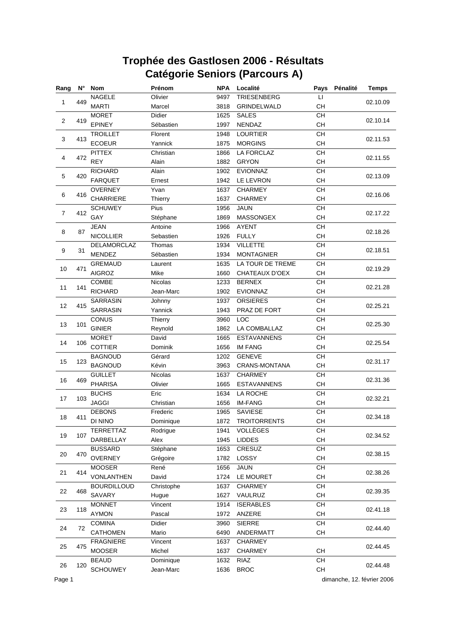| Rang                    |     | N° Nom             | Prénom         | <b>NPA</b> | Localité            | Pays      | Pénalité | <b>Temps</b> |
|-------------------------|-----|--------------------|----------------|------------|---------------------|-----------|----------|--------------|
|                         |     | <b>NAGELE</b>      | Olivier        | 9497       | <b>TRIESENBERG</b>  | П         |          |              |
| 1                       | 449 | <b>MARTI</b>       | Marcel         | 3818       | GRINDELWALD         | CН        |          | 02.10.09     |
|                         |     | <b>MORET</b>       | Didier         | 1625       | <b>SALES</b>        | CH        |          |              |
| $\overline{\mathbf{c}}$ | 419 | <b>EPINEY</b>      | Sébastien      | 1997       | NENDAZ              | CH        |          | 02.10.14     |
|                         |     | <b>TROILLET</b>    | Florent        | 1948       | <b>LOURTIER</b>     | CH        |          |              |
| 3                       | 413 | <b>ECOEUR</b>      | Yannick        | 1875       | <b>MORGINS</b>      | CH        |          | 02.11.53     |
|                         |     | <b>PITTEX</b>      | Christian      | 1866       | LA FORCLAZ          | <b>CH</b> |          |              |
| 4                       | 472 | <b>REY</b>         | Alain          | 1882       | <b>GRYON</b>        | CH        |          | 02.11.55     |
|                         |     | <b>RICHARD</b>     | Alain          | 1902       | <b>EVIONNAZ</b>     | CH        |          |              |
| 5                       | 420 | <b>FARQUET</b>     | Ernest         | 1942       | LE LEVRON           | CH        |          | 02.13.09     |
|                         |     | <b>OVERNEY</b>     | Yvan           | 1637       | <b>CHARMEY</b>      | CH        |          |              |
| 6                       | 416 | CHARRIERE          | Thierry        | 1637       | <b>CHARMEY</b>      | CH        |          | 02.16.06     |
|                         |     | <b>SCHUWEY</b>     | Pius           | 1956       | <b>JAUN</b>         | CH        |          |              |
| $\overline{7}$          | 412 | GAY                | Stéphane       | 1869       | MASSONGEX           | <b>CH</b> |          | 02.17.22     |
|                         |     | <b>JEAN</b>        | Antoine        | 1966       | <b>AYENT</b>        | CH        |          |              |
| 8                       | 87  | <b>NICOLLIER</b>   | Sebastien      | 1926       | <b>FULLY</b>        | CH        |          | 02.18.26     |
|                         |     | DELAMORCLAZ        | Thomas         | 1934       | <b>VILLETTE</b>     | CH        |          |              |
| 9                       | 31  | <b>MENDEZ</b>      | Sébastien      | 1934       | <b>MONTAGNIER</b>   | CH        |          | 02.18.51     |
|                         |     | <b>GREMAUD</b>     | Laurent        | 1635       | LA TOUR DE TREME    | CH        |          |              |
| 10                      | 471 | <b>AIGROZ</b>      | Mike           | 1660       | CHATEAUX D'OEX      | <b>CH</b> |          | 02.19.29     |
|                         |     | COMBE              | <b>Nicolas</b> | 1233       | <b>BERNEX</b>       | CH        |          |              |
| 11                      | 141 | <b>RICHARD</b>     | Jean-Marc      | 1902       | <b>EVIONNAZ</b>     | СH        |          | 02.21.28     |
|                         |     | <b>SARRASIN</b>    | Johnny         | 1937       | <b>ORSIERES</b>     | CH        |          |              |
| 12                      | 415 | SARRASIN           | Yannick        | 1943       | PRAZ DE FORT        | <b>CH</b> |          | 02.25.21     |
|                         |     | CONUS              | Thierry        | 3960       | LOC                 | CH        |          |              |
| 13                      | 101 | <b>GINIER</b>      | Reynold        | 1862       | LA COMBALLAZ        | <b>CH</b> |          | 02.25.30     |
|                         |     | <b>MORET</b>       | David          | 1665       | <b>ESTAVANNENS</b>  | CH        |          |              |
| 14                      | 106 | <b>COTTIER</b>     | Dominik        | 1656       | <b>IM FANG</b>      | CH        |          | 02.25.54     |
|                         |     | <b>BAGNOUD</b>     | Gérard         | 1202       | <b>GENEVE</b>       | CH        |          |              |
| 15                      | 123 | <b>BAGNOUD</b>     | Kévin          | 3963       | CRANS-MONTANA       | CH        |          | 02.31.17     |
|                         |     | <b>GUILLET</b>     | Nicolas        | 1637       | <b>CHARMEY</b>      | <b>CH</b> |          |              |
| 16                      | 469 | <b>PHARISA</b>     | Olivier        | 1665       | <b>ESTAVANNENS</b>  | CH        |          | 02.31.36     |
|                         |     | <b>BUCHS</b>       | Eric           | 1634       | LA ROCHE            | CH        |          |              |
| 17                      | 103 | <b>JAGGI</b>       | Christian      | 1656       | <b>IM-FANG</b>      | CH        |          | 02.32.21     |
|                         |     | <b>DEBONS</b>      | Frederic       | 1965       | <b>SAVIESE</b>      | CH        |          |              |
| 18                      | 411 | DI NINO            | Dominique      | 1872       | <b>TROITORRENTS</b> | <b>CH</b> |          | 02.34.18     |
|                         |     | TERRETTAZ          | Rodrigue       | 1941       | VOLLÈGES            | CH        |          |              |
| 19                      | 107 | DARBELLAY          | Alex           | 1945       | <b>LIDDES</b>       | CH        |          | 02.34.52     |
|                         |     | <b>BUSSARD</b>     | Stéphane       | 1653       | CRESUZ              | CH        |          |              |
| 20                      | 470 | <b>OVERNEY</b>     | Grégoire       | 1782       | LOSSY               | CH        |          | 02.38.15     |
|                         |     | <b>MOOSER</b>      | René           | 1656       | <b>JAUN</b>         | CH        |          |              |
| 21                      | 414 | <b>VONLANTHEN</b>  | David          | 1724       | LE MOURET           | CH        |          | 02.38.26     |
|                         |     | <b>BOURDILLOUD</b> | Christophe     | 1637       | CHARMEY             | CH        |          |              |
| 22                      | 468 | SAVARY             | Hugue          | 1627       | VAULRUZ             | CH        |          | 02.39.35     |
|                         |     | <b>MONNET</b>      | Vincent        | 1914       | <b>ISERABLES</b>    | CH        |          |              |
| 23                      | 118 |                    |                |            |                     |           |          | 02.41.18     |
|                         |     | <b>AYMON</b>       | Pascal         | 1972       | ANZERE              | CH        |          |              |
| 24                      | 72  | <b>COMINA</b>      | Didier         | 3960       | <b>SIERRE</b>       | CH        |          | 02.44.40     |
|                         |     | <b>CATHOMEN</b>    | Mario          | 6490       | ANDERMATT           | CH        |          |              |
| 25                      | 475 | <b>FRAGNIERE</b>   | Vincent        | 1637       | CHARMEY             |           |          | 02.44.45     |
|                         |     | <b>MOOSER</b>      | Michel         | 1637       | <b>CHARMEY</b>      | CH        |          |              |
| 26                      | 120 | <b>BEAUD</b>       | Dominique      | 1632       | RIAZ                | CH        |          | 02.44.48     |
|                         |     | <b>SCHOUWEY</b>    | Jean-Marc      | 1636       | <b>BROC</b>         | CH        |          |              |

Page 1 dimanche, 12. février 2006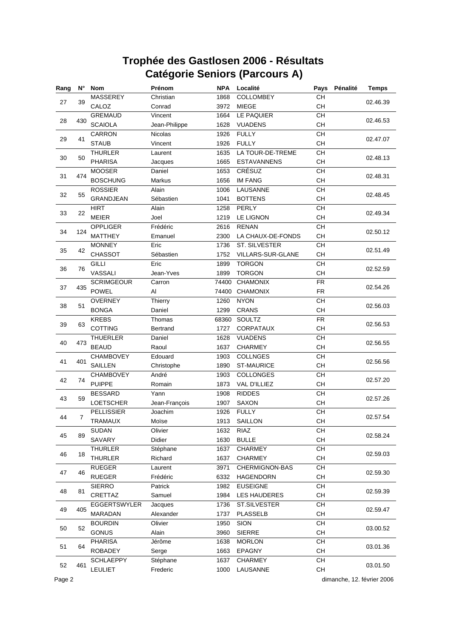| Rang | $N^{\circ}$ | <b>Nom</b>        | Prénom         | <b>NPA</b> | Localité                 | Pays       | Pénalité | <b>Temps</b> |
|------|-------------|-------------------|----------------|------------|--------------------------|------------|----------|--------------|
|      |             | MASSEREY          | Christian      | 1868       | COLLOMBEY                | CH         |          |              |
| 27   | 39          | CALOZ             | Conrad         | 3972       | <b>MIEGE</b>             | CH         |          | 02.46.39     |
|      |             | <b>GREMAUD</b>    | Vincent        | 1664       | LE PAQUIER               | CH         |          |              |
| 28   | 430         | <b>SCAIOLA</b>    | Jean-Philippe  | 1628       | <b>VUADENS</b>           | CH         |          | 02.46.53     |
|      |             | <b>CARRON</b>     | <b>Nicolas</b> | 1926       | <b>FULLY</b>             | CH         |          |              |
| 29   | 41          | <b>STAUB</b>      | Vincent        | 1926       | <b>FULLY</b>             | CH         |          | 02.47.07     |
|      |             | <b>THURLER</b>    | Laurent        | 1635       | LA TOUR-DE-TREME         | <b>CH</b>  |          |              |
| 30   | 50          | <b>PHARISA</b>    | Jacques        | 1665       | <b>ESTAVANNENS</b>       | CH         |          | 02.48.13     |
|      |             | <b>MOOSER</b>     | Daniel         | 1653       | CRÉSUZ                   | CH         |          |              |
| 31   | 474         | <b>BOSCHUNG</b>   | Markus         | 1656       | <b>IM FANG</b>           | CH         |          | 02.48.31     |
|      |             | <b>ROSSIER</b>    | Alain          | 1006       | LAUSANNE                 | CH         |          |              |
| 32   | 55          | <b>GRANDJEAN</b>  | Sébastien      | 1041       | <b>BOTTENS</b>           | <b>CH</b>  |          | 02.48.45     |
|      |             | <b>HIRT</b>       | Alain          | 1258       | <b>PERLY</b>             | CH         |          |              |
| 33   | 22          | <b>MEIER</b>      | Joel           | 1219       | <b>LE LIGNON</b>         | <b>CH</b>  |          | 02.49.34     |
|      |             | <b>OPPLIGER</b>   | Frédéric       | 2616       | <b>RENAN</b>             | CH         |          |              |
| 34   | 124         | <b>MATTHEY</b>    | Emanuel        | 2300       | LA CHAUX-DE-FONDS        | CH         |          | 02.50.12     |
|      |             | <b>MONNEY</b>     | Eric           | 1736       | <b>ST. SILVESTER</b>     | CH         |          |              |
| 35   | 42          | <b>CHASSOT</b>    | Sébastien      | 1752       | <b>VILLARS-SUR-GLANE</b> | <b>CH</b>  |          | 02.51.49     |
|      |             | <b>GILLI</b>      | Eric           | 1899       | <b>TORGON</b>            | CH         |          |              |
| 36   | 76          | VASSALI           | Jean-Yves      | 1899       | <b>TORGON</b>            | CH         |          | 02.52.59     |
|      |             | <b>SCRIMGEOUR</b> | Carron         | 74400      | <b>CHAMONIX</b>          | ${\sf FR}$ |          |              |
| 37   | 435         | <b>POWEL</b>      | Al             | 74400      | <b>CHAMONIX</b>          | <b>FR</b>  |          | 02.54.26     |
|      |             | <b>OVERNEY</b>    | Thierry        | 1260       | <b>NYON</b>              | CH         |          |              |
| 38   | 51          | <b>BONGA</b>      | Daniel         | 1299       | <b>CRANS</b>             | <b>CH</b>  |          | 02.56.03     |
|      |             | <b>KREBS</b>      | Thomas         | 68360      | SOULTZ                   | <b>FR</b>  |          |              |
| 39   | 63          | <b>COTTING</b>    | Bertrand       | 1727       | <b>CORPATAUX</b>         | <b>CH</b>  |          | 02.56.53     |
|      |             | <b>THUERLER</b>   | Daniel         | 1628       | <b>VUADENS</b>           | CH         |          |              |
| 40   | 473         | <b>BEAUD</b>      | Raoul          | 1637       | <b>CHARMEY</b>           | CH         |          | 02.56.55     |
|      |             | <b>CHAMBOVEY</b>  | Edouard        | 1903       | <b>COLLNGES</b>          | CH         |          |              |
| 41   | 401         | <b>SAILLEN</b>    | Christophe     | 1890       | <b>ST-MAURICE</b>        | CH         |          | 02.56.56     |
|      |             | <b>CHAMBOVEY</b>  | André          | 1903       | <b>COLLONGES</b>         | <b>CH</b>  |          |              |
| 42   | 74          | <b>PUIPPE</b>     | Romain         | 1873       | <b>VAL D'ILLIEZ</b>      | CH         |          | 02.57.20     |
|      |             | <b>BESSARD</b>    | Yann           | 1908       | <b>RIDDES</b>            | CH         |          |              |
| 43   | 59          | <b>LOETSCHER</b>  | Jean-François  | 1907       | SAXON                    | CH         |          | 02.57.26     |
|      |             | <b>PELLISSIER</b> | Joachim        | 1926       | <b>FULLY</b>             | CH         |          |              |
| 44   | 7           | <b>TRAMAUX</b>    | Moïse          |            | 1913 SAILLON             | <b>CH</b>  |          | 02.57.54     |
|      |             | <b>SUDAN</b>      | Olivier        | 1632       | RIAZ                     | CH         |          |              |
| 45   | 89          | SAVARY            | Didier         | 1630       | <b>BULLE</b>             | CH         |          | 02.58.24     |
|      |             | <b>THURLER</b>    | Stéphane       | 1637       | <b>CHARMEY</b>           | CH         |          |              |
| 46   | 18          | <b>THURLER</b>    | Richard        | 1637       | CHARMEY                  | CH         |          | 02.59.03     |
|      |             | <b>RUEGER</b>     | Laurent        | 3971       | CHERMIGNON-BAS           | CH         |          |              |
| 47   | 46          | <b>RUEGER</b>     | Frédéric       | 6332       | <b>HAGENDORN</b>         | CH         |          | 02.59.30     |
|      |             | <b>SIERRO</b>     | Patrick        | 1982       | <b>EUSEIGNE</b>          | CH         |          |              |
| 48   | 81          | CRETTAZ           | Samuel         | 1984       | <b>LES HAUDERES</b>      | CH         |          | 02.59.39     |
|      |             | EGGERTSWYLER      | Jacques        | 1736       | ST.SILVESTER             | CH         |          |              |
| 49   | 405         | MARADAN           | Alexander      | 1737       | <b>PLASSELB</b>          | CH         |          | 02.59.47     |
|      |             | <b>BOURDIN</b>    | Olivier        | 1950       | <b>SION</b>              | CH         |          |              |
| 50   | 52          | GONUS             | Alain          | 3960       | <b>SIERRE</b>            | CH         |          | 03.00.52     |
|      |             | <b>PHARISA</b>    | Jérôme         | 1638       | <b>MORLON</b>            | CH         |          |              |
| 51   | 64          |                   |                |            |                          | CH         |          | 03.01.36     |
|      |             | <b>ROBADEY</b>    | Serge          | 1663       | EPAGNY                   | CH         |          |              |
| 52   | 461         | <b>SCHLAEPPY</b>  | Stéphane       | 1637       | <b>CHARMEY</b>           |            |          | 03.01.50     |
|      |             | <b>LEULIET</b>    | Frederic       | 1000       | LAUSANNE                 | CH         |          |              |

Page 2 dimanche, 12. février 2006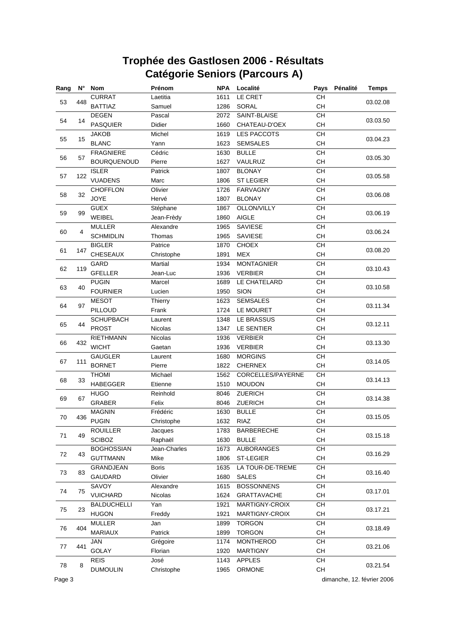| Rang |     | N° Nom             | Prénom         | <b>NPA</b> | Localité           | Pays      | Pénalité | <b>Temps</b> |
|------|-----|--------------------|----------------|------------|--------------------|-----------|----------|--------------|
|      |     | <b>CURRAT</b>      | Laetitia       | 1611       | LE CRET            | CH        |          | 03.02.08     |
| 53   | 448 | <b>BATTIAZ</b>     | Samuel         | 1286       | SORAL              | CH        |          |              |
|      |     | <b>DEGEN</b>       | Pascal         | 2072       | SAINT-BLAISE       | CH        |          |              |
| 54   | 14  | <b>PASQUIER</b>    | Didier         | 1660       | CHATEAU-D'OEX      | CH        |          | 03.03.50     |
|      |     | <b>JAKOB</b>       | Michel         | 1619       | <b>LES PACCOTS</b> | <b>CH</b> |          |              |
| 55   | 15  | <b>BLANC</b>       | Yann           | 1623       | <b>SEMSALES</b>    | CH        |          | 03.04.23     |
|      |     | <b>FRAGNIERE</b>   | Cédric         | 1630       | <b>BULLE</b>       | CH        |          | 03.05.30     |
| 56   | 57  | <b>BOURQUENOUD</b> | Pierre         | 1627       | VAULRUZ            | CH        |          |              |
|      |     | <b>ISLER</b>       | Patrick        | 1807       | <b>BLONAY</b>      | CH        |          | 03.05.58     |
| 57   | 122 | <b>VUADENS</b>     | Marc           | 1806       | <b>ST LEGIER</b>   | CH        |          |              |
|      |     | <b>CHOFFLON</b>    | Olivier        | 1726       | <b>FARVAGNY</b>    | CH        |          | 03.06.08     |
| 58   | 32  | <b>JOYE</b>        | Hervé          | 1807       | <b>BLONAY</b>      | <b>CH</b> |          |              |
|      |     | <b>GUEX</b>        | Stéphane       | 1867       | OLLON/VILLY        | CH        |          |              |
| 59   | 99  | WEIBEL             | Jean-Frèdy     | 1860       | <b>AIGLE</b>       | <b>CH</b> |          | 03.06.19     |
|      |     | <b>MULLER</b>      | Alexandre      | 1965       | SAVIESE            | CH        |          |              |
| 60   | 4   | <b>SCHMIDLIN</b>   | Thomas         | 1965       | SAVIESE            | CH        |          | 03.06.24     |
|      |     | <b>BIGLER</b>      | Patrice        | 1870       | <b>CHOEX</b>       | CH        |          |              |
| 61   | 147 | CHESEAUX           | Christophe     | 1891       | <b>MEX</b>         | CH        |          | 03.08.20     |
|      |     | <b>GARD</b>        | Martial        | 1934       | <b>MONTAGNIER</b>  | CH        |          |              |
| 62   | 119 | <b>GFELLER</b>     | Jean-Luc       | 1936       | <b>VERBIER</b>     | <b>CH</b> |          | 03.10.43     |
|      |     | <b>PUGIN</b>       | Marcel         | 1689       | LE CHATELARD       | CH        |          |              |
| 63   | 40  | <b>FOURNIER</b>    | Lucien         | 1950       | <b>SION</b>        | СH        |          | 03.10.58     |
|      |     | <b>MESOT</b>       | Thierry        | 1623       | <b>SEMSALES</b>    | CH        |          |              |
| 64   | 97  | PILLOUD            | Frank          | 1724       | LE MOURET          | <b>CH</b> |          | 03.11.34     |
|      |     | <b>SCHUPBACH</b>   | Laurent        | 1348       | LE BRASSUS         | CH        |          |              |
| 65   | 44  | <b>PROST</b>       | <b>Nicolas</b> | 1347       | <b>LE SENTIER</b>  | <b>CH</b> |          | 03.12.11     |
|      |     | <b>RIETHMANN</b>   | Nicolas        | 1936       | <b>VERBIER</b>     | CH        |          |              |
| 66   | 432 | <b>WICHT</b>       | Gaetan         | 1936       | <b>VERBIER</b>     | CH        |          | 03.13.30     |
|      |     | <b>GAUGLER</b>     | Laurent        | 1680       | <b>MORGINS</b>     | CH        |          |              |
| 67   | 111 | <b>BORNET</b>      | Pierre         | 1822       | <b>CHERNEX</b>     | CH        |          | 03.14.05     |
|      |     | <b>THOMI</b>       | Michael        | 1562       | CORCELLES/PAYERNE  | <b>CH</b> |          |              |
| 68   | 33  | <b>HABEGGER</b>    | Etienne        | 1510       | <b>MOUDON</b>      | CH        |          | 03.14.13     |
|      |     | <b>HUGO</b>        | Reinhold       | 8046       | <b>ZUERICH</b>     | CH        |          |              |
| 69   | 67  | <b>GRABER</b>      | Felix          | 8046       | ZUERICH            | CH        |          | 03.14.38     |
|      |     | <b>MAGNIN</b>      | Frédéric       | 1630       | <b>BULLE</b>       | CH        |          |              |
| 70   | 436 | <b>PUGIN</b>       | Christophe     | 1632       | RIAZ               | <b>CH</b> |          | 03.15.05     |
|      |     | <b>ROUILLER</b>    | Jacques        | 1783       | <b>BARBERECHE</b>  | CH        |          |              |
| 71   | 49  | <b>SCIBOZ</b>      | Raphaël        | 1630       | <b>BULLE</b>       | CH        |          | 03.15.18     |
|      |     | <b>BOGHOSSIAN</b>  | Jean-Charles   | 1673       | <b>AUBORANGES</b>  | CH        |          |              |
| 72   | 43  | <b>GUTTMANN</b>    | Mike           | 1806       | <b>ST-LEGIER</b>   | CH        |          | 03.16.29     |
|      |     | GRANDJEAN          | <b>Boris</b>   | 1635       | LA TOUR-DE-TREME   | CH        |          |              |
| 73   | 83  | GAUDARD            | Olivier        | 1680       | <b>SALES</b>       | CH        |          | 03.16.40     |
|      |     | SAVOY              | Alexandre      | 1615       | <b>BOSSONNENS</b>  | CH        |          |              |
| 74   | 75  | <b>VUICHARD</b>    | Nicolas        | 1624       | <b>GRATTAVACHE</b> | CH        |          | 03.17.01     |
|      |     | <b>BALDUCHELLI</b> | Yan            | 1921       | MARTIGNY-CROIX     | CH        |          |              |
| 75   | 23  | <b>HUGON</b>       | Freddy         | 1921       | MARTIGNY-CROIX     | CH        |          | 03.17.21     |
|      |     | <b>MULLER</b>      | Jan            | 1899       | <b>TORGON</b>      | CH        |          |              |
| 76   | 404 | <b>MARIAUX</b>     | Patrick        | 1899       | <b>TORGON</b>      | CH        |          | 03.18.49     |
|      |     | <b>JAN</b>         | Grégoire       | 1174       | <b>MONTHEROD</b>   | CH        |          |              |
| 77   | 441 | GOLAY              | Florian        | 1920       | <b>MARTIGNY</b>    | CH        |          | 03.21.06     |
|      |     | <b>REIS</b>        | José           | 1143       | <b>APPLES</b>      | CH        |          |              |
| 78   | 8   | <b>DUMOULIN</b>    | Christophe     | 1965       | ORMONE             | CH        |          | 03.21.54     |
|      |     |                    |                |            |                    |           |          |              |

Page 3 dimanche, 12. février 2006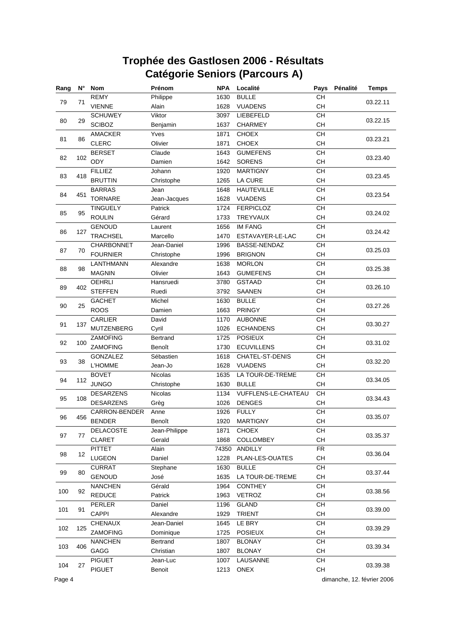| Rang | N°       | <b>Nom</b>           | Prénom        | <b>NPA</b> | Localité            | Pays            | Pénalité | <b>Temps</b> |
|------|----------|----------------------|---------------|------------|---------------------|-----------------|----------|--------------|
|      |          | <b>REMY</b>          | Philippe      | 1630       | <b>BULLE</b>        | CH              |          | 03.22.11     |
| 79   | 71       | <b>VIENNE</b>        | Alain         | 1628       | <b>VUADENS</b>      | CH              |          |              |
|      |          | <b>SCHUWEY</b>       | Viktor        | 3097       | LIEBEFELD           | CH              |          |              |
| 80   | 29       | <b>SCIBOZ</b>        | Benjamin      | 1637       | <b>CHARMEY</b>      | CH              |          | 03.22.15     |
|      |          | <b>AMACKER</b>       | Yves          | 1871       | <b>CHOEX</b>        | CH              |          |              |
| 81   | 86       | <b>CLERC</b>         | Olivier       | 1871       | <b>CHOEX</b>        | CH              |          | 03.23.21     |
|      |          | <b>BERSET</b>        | Claude        | 1643       | <b>GUMEFENS</b>     | <b>CH</b>       |          |              |
| 82   | 102      | ODY                  | Damien        | 1642       | <b>SORENS</b>       | CH              |          | 03.23.40     |
|      |          | <b>FILLIEZ</b>       | Johann        | 1920       | <b>MARTIGNY</b>     | CH              |          |              |
| 83   | 418      | <b>BRUTTIN</b>       | Christophe    | 1265       | LA CURE             | CH              |          | 03.23.45     |
|      |          | <b>BARRAS</b>        | Jean          | 1648       | <b>HAUTEVILLE</b>   | CH              |          |              |
| 84   | 451      | <b>TORNARE</b>       | Jean-Jacques  | 1628       | <b>VUADENS</b>      | CH              |          | 03.23.54     |
|      |          | <b>TINGUELY</b>      | Patrick       | 1724       | <b>FERPICLOZ</b>    | CH              |          |              |
| 85   | 95       | <b>ROULIN</b>        | Gérard        | 1733       | <b>TREYVAUX</b>     | <b>CH</b>       |          | 03.24.02     |
|      |          | <b>GENOUD</b>        | Laurent       | 1656       | <b>IM FANG</b>      | CH              |          |              |
| 86   | 127      | <b>TRACHSEL</b>      | Marcello      | 1470       | ESTAVAYER-LE-LAC    | CH              |          | 03.24.42     |
|      |          | CHARBONNET           | Jean-Daniel   | 1996       | BASSE-NENDAZ        | CH              |          |              |
| 87   | 70       | <b>FOURNIER</b>      | Christophe    | 1996       | <b>BRIGNON</b>      | CH              |          | 03.25.03     |
|      |          | LANTHMANN            | Alexandre     | 1638       | <b>MORLON</b>       | $\overline{CH}$ |          |              |
| 88   | 98       | <b>MAGNIN</b>        | Olivier       | 1643       | <b>GUMEFENS</b>     | CH              |          | 03.25.38     |
|      |          | <b>OEHRLI</b>        | Hansruedi     | 3780       | <b>GSTAAD</b>       | CH              |          |              |
| 89   | 402      | <b>STEFFEN</b>       | Ruedi         | 3792       | <b>SAANEN</b>       | CH              |          | 03.26.10     |
|      |          | <b>GACHET</b>        | Michel        | 1630       | <b>BULLE</b>        | CH              |          |              |
|      | 90<br>25 | <b>ROOS</b>          | Damien        | 1663       | <b>PRINGY</b>       | CH              |          | 03.27.26     |
|      |          | CARLIER              | David         | 1170       | <b>AUBONNE</b>      | CH              |          |              |
| 91   | 137      | <b>MUTZENBERG</b>    | Cyril         | 1026       | <b>ECHANDENS</b>    | <b>CH</b>       |          | 03.30.27     |
|      |          | ZAMOFING             | Bertrand      | 1725       | <b>POSIEUX</b>      | CH              |          |              |
| 92   | 100      | ZAMOFING             | Benoît        | 1730       | <b>ECUVILLENS</b>   | CH              |          | 03.31.02     |
|      |          | GONZALEZ             | Sébastien     | 1618       | CHATEL-ST-DENIS     | CH              |          |              |
| 93   | 38       | <b>L'HOMME</b>       | Jean-Jo       | 1628       | <b>VUADENS</b>      | CH              |          | 03.32.20     |
|      |          | <b>BOVET</b>         | Nicolas       | 1635       | LA TOUR-DE-TREME    | CH              |          |              |
| 94   | 112      | <b>JUNGO</b>         | Christophe    | 1630       | <b>BULLE</b>        | CH              |          | 03.34.05     |
|      |          | <b>DESARZENS</b>     | Nicolas       | 1134       | VUFFLENS-LE-CHATEAU | CH              |          |              |
| 95   | 108      | <b>DESARZENS</b>     | Grèg          | 1026       | <b>DENGES</b>       | CH              |          | 03.34.43     |
|      |          | <b>CARRON-BENDER</b> | Anne          | 1926       | <b>FULLY</b>        | CH              |          |              |
| 96   | 456      | <b>BENDER</b>        | Benoît        | 1920       | <b>MARTIGNY</b>     | <b>CH</b>       |          | 03.35.07     |
|      |          | DELACOSTE            | Jean-Philippe | 1871       | <b>CHOEX</b>        | CH              |          |              |
| 97   | 77       | CLARET               | Gerald        | 1868       | COLLOMBEY           | CH              |          | 03.35.37     |
|      |          | <b>PITTET</b>        | Alain         | 74350      | <b>ANDILLY</b>      | <b>FR</b>       |          |              |
| 98   | 12       | LUGEON               | Daniel        | 1228       | PLAN-LES-OUATES     | CH              |          | 03.36.04     |
|      |          | <b>CURRAT</b>        | Stephane      | 1630       | <b>BULLE</b>        | CH              |          |              |
| 99   | 80       | <b>GENOUD</b>        | José          | 1635       | LA TOUR-DE-TREME    | CH              |          | 03.37.44     |
|      |          | <b>NANCHEN</b>       | Gérald        | 1964       | <b>CONTHEY</b>      | CH              |          |              |
| 100  | 92       | <b>REDUCE</b>        | Patrick       | 1963       | VETROZ              | CH              |          | 03.38.56     |
|      |          | PERLER               | Daniel        | 1196       | <b>GLAND</b>        | CH              |          |              |
| 101  | 91       | CAPPI                | Alexandre     | 1929       | <b>TRIENT</b>       | CH              |          | 03.39.00     |
|      |          |                      |               |            |                     |                 |          |              |
| 102  | 125      | <b>CHENAUX</b>       | Jean-Daniel   | 1645       | LE BRY              | CH              |          | 03.39.29     |
|      |          | ZAMOFING             | Dominique     | 1725       | <b>POSIEUX</b>      | CH              |          |              |
| 103  | 406      | <b>NANCHEN</b>       | Bertrand      | 1807       | <b>BLONAY</b>       | CH              |          | 03.39.34     |
|      |          | GAGG                 | Christian     | 1807       | <b>BLONAY</b>       | CH              |          |              |
| 104  | 27       | <b>PIGUET</b>        | Jean-Luc      | 1007       | LAUSANNE            | CH              |          | 03.39.38     |
|      |          | <b>PIGUET</b>        | Benoit        | 1213       | ONEX                | CH              |          |              |

Page 4 dimanche, 12. février 2006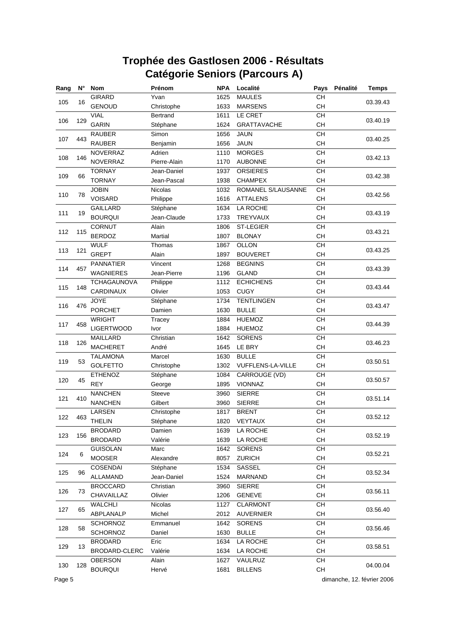| Rang | $N^{\circ}$ | <b>Nom</b>         | Prénom       | <b>NPA</b> | Localité           | Pays      | Pénalité | <b>Temps</b> |
|------|-------------|--------------------|--------------|------------|--------------------|-----------|----------|--------------|
|      |             | <b>GIRARD</b>      | Yvan         | 1625       | <b>MAULES</b>      | CH        |          |              |
| 105  | 16          | <b>GENOUD</b>      | Christophe   | 1633       | <b>MARSENS</b>     | <b>CH</b> |          | 03.39.43     |
|      |             | <b>VIAL</b>        | Bertrand     | 1611       | LE CRET            | CH        |          |              |
| 106  | 129         | <b>GARIN</b>       | Stéphane     | 1624       | <b>GRATTAVACHE</b> | CH        |          | 03.40.19     |
|      |             | <b>RAUBER</b>      | Simon        | 1656       | <b>JAUN</b>        | CH        |          |              |
| 107  | 443         | <b>RAUBER</b>      | Benjamin     | 1656       | <b>JAUN</b>        | CH        |          | 03.40.25     |
|      |             | <b>NOVERRAZ</b>    | Adrien       | 1110       | <b>MORGES</b>      | CH        |          |              |
| 108  | 146         | <b>NOVERRAZ</b>    | Pierre-Alain | 1170       | <b>AUBONNE</b>     | CH        |          | 03.42.13     |
|      |             | <b>TORNAY</b>      | Jean-Daniel  | 1937       | <b>ORSIERES</b>    | <b>CH</b> |          |              |
| 109  | 66          | <b>TORNAY</b>      | Jean-Pascal  | 1938       | <b>CHAMPEX</b>     | CH        |          | 03.42.38     |
|      |             | <b>JOBIN</b>       | Nicolas      | 1032       | ROMANEL S/LAUSANNE | CH        |          | 03.42.56     |
| 110  | 78          | <b>VOISARD</b>     | Philippe     | 1616       | <b>ATTALENS</b>    | CH        |          |              |
|      |             | <b>GAILLARD</b>    | Stéphane     | 1634       | LA ROCHE           | CH        |          |              |
| 111  | 19          | <b>BOURQUI</b>     | Jean-Claude  | 1733       | TREYVAUX           | <b>CH</b> |          | 03.43.19     |
|      |             | <b>CORNUT</b>      | Alain        | 1806       | <b>ST-LEGIER</b>   | CH        |          |              |
| 112  | 115         | <b>BERDOZ</b>      | Martial      | 1807       | <b>BLONAY</b>      | CH        |          | 03.43.21     |
|      |             | <b>WULF</b>        | Thomas       | 1867       | <b>OLLON</b>       | CH        |          |              |
| 113  | 121         | <b>GREPT</b>       | Alain        | 1897       | <b>BOUVERET</b>    | <b>CH</b> |          | 03.43.25     |
|      |             | <b>PANNATIER</b>   | Vincent      | 1268       | <b>BEGNINS</b>     | CH        |          |              |
| 114  | 457         | <b>WAGNIERES</b>   | Jean-Pierre  | 1196       | <b>GLAND</b>       | CH        |          | 03.43.39     |
|      |             | <b>TCHAGAUNOVA</b> | Philippe     | 1112       | <b>ECHICHENS</b>   | CH        |          |              |
| 115  | 148         | CARDINAUX          | Olivier      | 1053       | <b>CUGY</b>        | <b>CH</b> |          | 03.43.44     |
|      |             | JOYE               | Stéphane     | 1734       | <b>TENTLINGEN</b>  | <b>CH</b> |          |              |
| 116  | 476         | <b>PORCHET</b>     | Damien       | 1630       | <b>BULLE</b>       | CH        |          | 03.43.47     |
|      | 458         | <b>WRIGHT</b>      | Tracey       | 1884       | <b>HUEMOZ</b>      | CH        |          |              |
| 117  |             | <b>LIGERTWOOD</b>  | Ivor         | 1884       | <b>HUEMOZ</b>      | CH        |          | 03.44.39     |
|      |             | <b>MAILLARD</b>    | Christian    | 1642       | <b>SORENS</b>      | CH        |          |              |
| 118  | 126         | <b>MACHERET</b>    | André        | 1645       | LE BRY             | <b>CH</b> |          | 03.46.23     |
|      |             | <b>TALAMONA</b>    | Marcel       | 1630       | <b>BULLE</b>       | CH        |          |              |
| 119  | 53          | <b>GOLFETTO</b>    | Christophe   | 1302       | VUFFLENS-LA-VILLE  | CH        |          | 03.50.51     |
|      |             | <b>ETHENOZ</b>     | Stéphane     | 1084       | CARROUGE (VD)      | CH        |          |              |
| 120  | 45          | <b>REY</b>         | George       | 1895       | VIONNAZ            | CH        |          | 03.50.57     |
| 121  | 410         | <b>NANCHEN</b>     | Steeve       | 3960       | <b>SIERRE</b>      | CH        |          | 03.51.14     |
|      |             | <b>NANCHEN</b>     | Gilbert      | 3960       | <b>SIERRE</b>      | CH        |          |              |
|      |             | LARSEN             | Christophe   | 1817       | <b>BRENT</b>       | <b>CH</b> |          |              |
| 122  | 463         | <b>THELIN</b>      | Stéphane     | 1820       | VEYTAUX            | CH        |          | 03.52.12     |
|      |             | <b>BRODARD</b>     | Damien       | 1639       | LA ROCHE           | CН        |          |              |
| 123  | 156         | <b>BRODARD</b>     | Valérie      | 1639       | LA ROCHE           | CH        |          | 03.52.19     |
|      |             | <b>GUISOLAN</b>    | Marc         | 1642       | <b>SORENS</b>      | CH        |          |              |
| 124  | 6           | <b>MOOSER</b>      | Alexandre    | 8057       | <b>ZURICH</b>      | CH        |          | 03.52.21     |
|      |             | COSENDAI           | Stéphane     | 1534       | SASSEL             | CH        |          |              |
| 125  | 96          | ALLAMAND           | Jean-Daniel  | 1524       | MARNAND            | CH        |          | 03.52.34     |
|      |             | <b>BROCCARD</b>    | Christian    | 3960       | <b>SIERRE</b>      | CH        |          |              |
| 126  | 73          | CHAVAILLAZ         | Olivier      | 1206       | <b>GENEVE</b>      | CH        |          | 03.56.11     |
|      |             | <b>WALCHLI</b>     | Nicolas      | 1127       | CLARMONT           | CH        |          |              |
| 127  | 65          | ABPLANALP          | Michel       | 2012       | <b>AUVERNIER</b>   | CH        |          | 03.56.40     |
|      |             | <b>SCHORNOZ</b>    | Emmanuel     | 1642       | <b>SORENS</b>      | CH        |          |              |
| 128  | 58          | <b>SCHORNOZ</b>    | Daniel       | 1630       | <b>BULLE</b>       | CH        |          | 03.56.46     |
|      |             | <b>BRODARD</b>     | Eric         | 1634       | LA ROCHE           | CH        |          |              |
| 129  | 13          | BRODARD-CLERC      | Valérie      | 1634       | LA ROCHE           | CH        |          | 03.58.51     |
|      |             | <b>OBERSON</b>     | Alain        | 1627       | VAULRUZ            | CH        |          |              |
| 130  | 128         | <b>BOURQUI</b>     | Hervé        | 1681       | <b>BILLENS</b>     | CH        |          | 04.00.04     |

Page 5 dimanche, 12. février 2006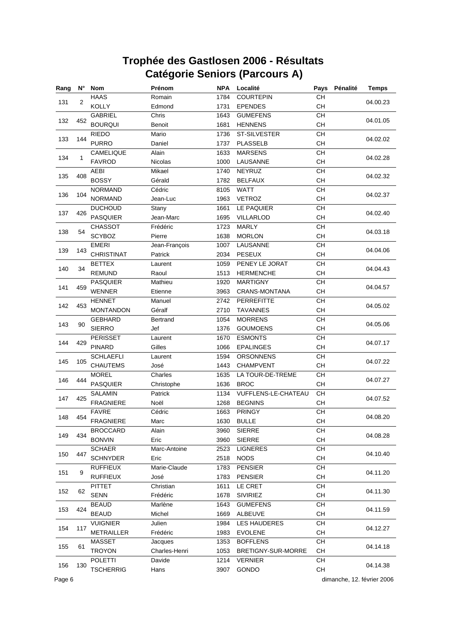| Rang | N°         | <b>Nom</b>        | Prénom        | <b>NPA</b> | Localité             | Pays      | Pénalité | <b>Temps</b> |
|------|------------|-------------------|---------------|------------|----------------------|-----------|----------|--------------|
|      |            | <b>HAAS</b>       | Romain        | 1784       | <b>COURTEPIN</b>     | CH        |          |              |
| 131  | 2          | <b>KOLLY</b>      | Edmond        | 1731       | <b>EPENDES</b>       | CH        |          | 04.00.23     |
|      |            | <b>GABRIEL</b>    | Chris         | 1643       | <b>GUMEFENS</b>      | CH        |          |              |
| 132  | 452        | <b>BOURQUI</b>    | Benoit        | 1681       | <b>HENNENS</b>       | CH        |          | 04.01.05     |
|      |            | <b>RIEDO</b>      | Mario         | 1736       | ST-SILVESTER         | CH        |          |              |
| 133  | 144        | <b>PURRO</b>      | Daniel        | 1737       | <b>PLASSELB</b>      | CH        |          | 04.02.02     |
|      |            | CAMELIQUE         | Alain         | 1633       | <b>MARSENS</b>       | <b>CH</b> |          |              |
| 134  | 1          | <b>FAVROD</b>     | Nicolas       | 1000       | LAUSANNE             | CH        |          | 04.02.28     |
|      |            | <b>AEBI</b>       | Mikael        | 1740       | <b>NEYRUZ</b>        | CH        |          |              |
| 135  | 408        | <b>BOSSY</b>      | Gérald        | 1782       | <b>BELFAUX</b>       | CH        |          | 04.02.32     |
|      |            | <b>NORMAND</b>    | Cédric        | 8105       | <b>WATT</b>          | CH        |          |              |
| 136  | 104        | <b>NORMAND</b>    | Jean-Luc      | 1963       | <b>VETROZ</b>        | CH        |          | 04.02.37     |
|      |            | <b>DUCHOUD</b>    | Stany         | 1661       | LE PAQUIER           | CH        |          |              |
| 137  | 426        | <b>PASQUIER</b>   | Jean-Marc     | 1695       | VILLARLOD            | <b>CH</b> |          | 04.02.40     |
|      |            | <b>CHASSOT</b>    | Frédéric      | 1723       | <b>MARLY</b>         | CH        |          |              |
| 138  | 54         | <b>SCYBOZ</b>     | Pierre        | 1638       | <b>MORLON</b>        | <b>CH</b> |          | 04.03.18     |
|      |            | <b>EMERI</b>      | Jean-François | 1007       | LAUSANNE             | CH        |          |              |
| 139  | 143        | <b>CHRISTINAT</b> | Patrick       | 2034       | <b>PESEUX</b>        | CH        |          | 04.04.06     |
|      |            | <b>BETTEX</b>     | Laurent       | 1059       | PENEY LE JORAT       | CH        |          |              |
| 140  | 34         | <b>REMUND</b>     | Raoul         | 1513       | <b>HERMENCHE</b>     | <b>CH</b> |          | 04.04.43     |
|      |            | <b>PASQUIER</b>   | Mathieu       | 1920       | <b>MARTIGNY</b>      | <b>CH</b> |          |              |
| 141  | 459        | <b>WENNER</b>     | Etienne       | 3963       | <b>CRANS-MONTANA</b> | CH        |          | 04.04.57     |
|      |            | <b>HENNET</b>     | Manuel        | 2742       | <b>PERREFITTE</b>    | CH        |          |              |
|      | 142<br>453 | <b>MONTANDON</b>  | Géralf        | 2710       | <b>TAVANNES</b>      | <b>CH</b> |          | 04.05.02     |
|      |            | <b>GEBHARD</b>    | Bertrand      | 1054       | <b>MORRENS</b>       | CH        |          |              |
| 143  | 90         | <b>SIERRO</b>     | Jef           | 1376       | <b>GOUMOENS</b>      | <b>CH</b> |          | 04.05.06     |
|      |            | <b>PERISSET</b>   | Laurent       | 1670       | <b>ESMONTS</b>       | CH        |          |              |
| 144  | 429        | <b>PINARD</b>     | Gilles        | 1066       | <b>EPALINGES</b>     | CH        |          | 04.07.17     |
|      |            | <b>SCHLAEFLI</b>  | Laurent       | 1594       | <b>ORSONNENS</b>     | CH        |          |              |
| 145  | 105        | <b>CHAUTEMS</b>   | José          | 1443       | <b>CHAMPVENT</b>     | CH        |          | 04.07.22     |
|      |            | <b>MOREL</b>      | Charles       | 1635       | LA TOUR-DE-TREME     | <b>CH</b> |          |              |
| 146  | 444        | <b>PASQUIER</b>   | Christophe    | 1636       | <b>BROC</b>          | CH        |          | 04.07.27     |
|      |            | <b>SALAMIN</b>    | Patrick       | 1134       | VUFFLENS-LE-CHATEAU  | <b>CH</b> |          |              |
| 147  | 425        | <b>FRAGNIERE</b>  | Noël          | 1268       | <b>BEGNINS</b>       | CH        |          | 04.07.52     |
|      |            | <b>FAVRE</b>      | Cédric        | 1663       | <b>PRINGY</b>        | CН        |          |              |
| 148  | 454        | <b>FRAGNIERE</b>  | Marc          | 1630       | <b>BULLE</b>         | <b>CH</b> |          | 04.08.20     |
|      |            | <b>BROCCARD</b>   | Alain         | 3960       | <b>SIERRE</b>        | CН        |          |              |
| 149  | 434        | <b>BONVIN</b>     | Eric          | 3960       | <b>SIERRE</b>        | CH        |          | 04.08.28     |
|      |            | <b>SCHAER</b>     | Marc-Antoine  | 2523       | <b>LIGNERES</b>      | CH        |          |              |
| 150  | 447        | <b>SCHNYDER</b>   | Eric          | 2518       | <b>NODS</b>          | CH        |          | 04.10.40     |
|      |            | <b>RUFFIEUX</b>   | Marie-Claude  | 1783       | <b>PENSIER</b>       | CH        |          |              |
| 151  | 9          | <b>RUFFIEUX</b>   | José          | 1783       | <b>PENSIER</b>       | CH        |          | 04.11.20     |
|      |            | <b>PITTET</b>     | Christian     | 1611       | LE CRET              | CH        |          |              |
| 152  | 62         | <b>SENN</b>       | Frédéric      | 1678       | <b>SIVIRIEZ</b>      | CH        |          | 04.11.30     |
|      |            | <b>BEAUD</b>      | Marlène       | 1643       | <b>GUMEFENS</b>      | CH        |          |              |
| 153  | 424        | <b>BEAUD</b>      | Michel        | 1669       | ALBEUVE              | CH        |          | 04.11.59     |
|      |            | <b>VUIGNIER</b>   | Julien        | 1984       | LES HAUDERES         | CH        |          |              |
| 154  | 117        | <b>METRAILLER</b> | Frédéric      | 1983       | <b>EVOLENE</b>       | CH        |          | 04.12.27     |
|      |            | <b>MASSET</b>     | Jacques       | 1353       | <b>BOFFLENS</b>      | CH        |          |              |
| 155  | 61         | <b>TROYON</b>     | Charles-Henri | 1053       | BRETIGNY-SUR-MORRE   | CH        |          | 04.14.18     |
|      |            | <b>POLETTI</b>    | Davide        | 1214       | <b>VERNIER</b>       | CH        |          |              |
| 156  | 130        |                   |               |            |                      |           |          | 04.14.38     |
|      |            | <b>TSCHERRIG</b>  | Hans          | 3907       | GONDO                | CH        |          |              |

Page 6 dimanche, 12. février 2006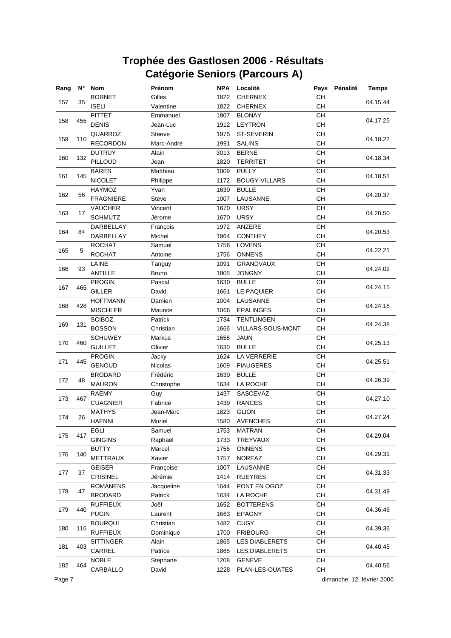| Rang | N°  | <b>Nom</b>       | Prénom        | <b>NPA</b> | Localité              | Pays      | Pénalité | <b>Temps</b> |
|------|-----|------------------|---------------|------------|-----------------------|-----------|----------|--------------|
|      |     | <b>BORNET</b>    | Gilles        | 1822       | <b>CHERNEX</b>        | CH        |          |              |
| 157  | 35  | <b>ISELI</b>     | Valentine     | 1822       | <b>CHERNEX</b>        | <b>CH</b> |          | 04.15.44     |
|      |     | <b>PITTET</b>    | Emmanuel      | 1807       | <b>BLONAY</b>         | CH        |          |              |
| 158  | 455 | <b>DENIS</b>     | Jean-Luc      | 1912       | <b>LEYTRON</b>        | CH        |          | 04.17.25     |
|      |     | QUARROZ          | <b>Steeve</b> | 1975       | ST-SEVERIN            | CH        |          |              |
| 159  | 110 | <b>RECORDON</b>  | Marc-André    | 1991       | <b>SALINS</b>         | CH        |          | 04.18.22     |
|      |     | <b>DUTRUY</b>    | Alain         | 3013       | <b>BERNE</b>          | <b>CH</b> |          | 04.18.34     |
| 160  | 132 | PILLOUD          | Jean          | 1820       | <b>TERRITET</b>       | CH        |          |              |
|      |     | <b>BARES</b>     | Matthieu      | 1009       | <b>PULLY</b>          | <b>CH</b> |          |              |
| 161  | 145 | <b>NICOLET</b>   | Philippe      | 1172       | <b>BOUGY-VILLARS</b>  | CH        |          | 04.18.51     |
|      |     | HAYMOZ           | Yvan          | 1630       | <b>BULLE</b>          | CH        |          | 04.20.37     |
| 162  | 56  | <b>FRAGNIERE</b> | <b>Steve</b>  | 1007       | LAUSANNE              | CH        |          |              |
|      |     | <b>VAUCHER</b>   | Vincent       | 1670       | <b>URSY</b>           | CH        |          | 04.20.50     |
| 163  | 17  | <b>SCHMUTZ</b>   | Jérome        | 1670       | <b>URSY</b>           | <b>CH</b> |          |              |
|      |     | DARBELLAY        | François      | 1972       | ANZERE                | CH        |          |              |
| 164  | 84  | DARBELLAY        | Michel        | 1964       | <b>CONTHEY</b>        | <b>CH</b> |          | 04.20.53     |
|      |     | <b>ROCHAT</b>    | Samuel        | 1756       | LOVENS                | CH        |          | 04.22.21     |
| 165  | 5   | <b>ROCHAT</b>    | Antoine       | 1756       | <b>ONNENS</b>         | CH        |          |              |
|      |     | LAINE            | Tanguy        | 1091       | <b>GRANDVAUX</b>      | CH        |          | 04.24.02     |
| 166  | 93  | <b>ANTILLE</b>   | <b>Bruno</b>  | 1805       | <b>JONGNY</b>         | CH        |          |              |
|      |     | <b>PROGIN</b>    | Pascal        | 1630       | <b>BULLE</b>          | CH        |          |              |
| 167  | 465 | <b>GILLER</b>    | David         | 1661       | LE PAQUIER            | <b>CH</b> |          | 04.24.15     |
|      |     | <b>HOFFMANN</b>  | Damien        | 1004       | LAUSANNE              | <b>CH</b> |          |              |
| 168  | 428 | <b>MISCHLER</b>  | Maurice       | 1066       | <b>EPALINGES</b>      | CН        |          | 04.24.18     |
|      |     | <b>SCIBOZ</b>    | Patrick       | 1734       | <b>TENTLINGEN</b>     | CH        |          |              |
| 169  | 131 | <b>BOSSON</b>    | Christian     | 1666       | VILLARS-SOUS-MONT     | <b>CH</b> |          | 04.24.38     |
|      |     | <b>SCHUWEY</b>   | Markus        | 1656       | <b>JAUN</b>           | CH        |          |              |
| 170  | 460 | <b>GUILLET</b>   | Olivier       | 1630       | <b>BULLE</b>          | <b>CH</b> |          | 04.25.13     |
|      |     | <b>PROGIN</b>    | Jacky         | 1624       | LA VERRERIE           | CH        |          |              |
| 171  | 445 | <b>GENOUD</b>    | Nicolas       | 1609       | <b>FIAUGERES</b>      | CH        |          | 04.25.51     |
|      |     | <b>BRODARD</b>   | Frédéric      | 1630       | <b>BULLE</b>          | CH        |          |              |
| 172  | 48  | <b>MAURON</b>    | Christophe    | 1634       | LA ROCHE              | CH        |          | 04.26.39     |
|      |     | <b>RAEMY</b>     | Guy           | 1437       | SASCEVAZ              | CH        |          | 04.27.10     |
| 173  | 467 | <b>CUAGNIER</b>  | Fabrice       | 1439       | <b>RANCES</b>         | CH        |          |              |
|      |     | <b>MATHYS</b>    | Jean-Marc     | 1823       | <b>GLION</b>          | <b>CH</b> |          |              |
| 174  | 26  | <b>HAENNI</b>    | Muriel        | 1580       | <b>AVENCHES</b>       | CH        |          | 04.27.24     |
|      | 417 | EGLI             | Samuel        | 1753       | <b>MATRAN</b>         | CН        |          | 04.29.04     |
| 175  |     | <b>GINGINS</b>   | Raphaël       | 1733       | TREYVAUX              | CH        |          |              |
| 176  | 140 | <b>BUTTY</b>     | Marcel        | 1756       | <b>ONNENS</b>         | CH        |          | 04.29.31     |
|      |     | METTRAUX         | Xavier        | 1757       | NOREAZ                | CH        |          |              |
|      |     | <b>GEISER</b>    | Françoise     | 1007       | LAUSANNE              | CH        |          |              |
| 177  | 37  | <b>CRISINEL</b>  | Jérémie       | 1414       | <b>RUEYRES</b>        | CH        |          | 04.31.33     |
|      |     | <b>ROMANENS</b>  | Jacqueline    | 1644       | PONT EN OGOZ          | CH        |          |              |
| 178  | 47  | <b>BRODARD</b>   | Patrick       | 1634       | LA ROCHE              | CH        |          | 04.31.49     |
|      |     | <b>RUFFIEUX</b>  | Joël          | 1652       | <b>BOTTERENS</b>      | CH        |          | 04.36.46     |
| 179  | 440 | <b>PUGIN</b>     | Laurent       | 1663       | <b>EPAGNY</b>         | CH        |          |              |
|      |     | <b>BOURQUI</b>   | Christian     | 1482       | <b>CUGY</b>           | CH        |          |              |
| 180  | 116 | <b>RUFFIEUX</b>  | Dominique     | 1700       | <b>FRIBOURG</b>       | CH        |          | 04.39.36     |
|      |     | <b>SITTINGER</b> | Alain         | 1865       | <b>LES DIABLERETS</b> | CH        |          |              |
| 181  | 403 | CARREL           | Patrice       | 1865       | LES.DIABLERETS        | CH        |          | 04.40.45     |
|      |     | <b>NOBLE</b>     | Stephane      | 1208       | <b>GENEVE</b>         | CH        |          |              |
| 182  | 464 | CARBALLO         | David         | 1228       | PLAN-LES-OUATES       | CH        |          | 04.40.56     |

Page 7 dimanche, 12. février 2006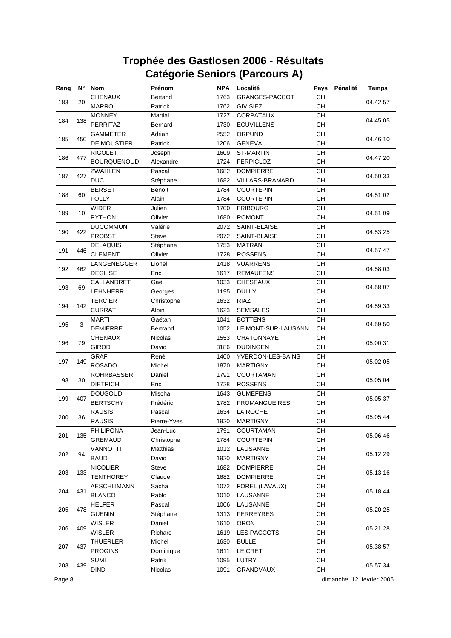| Rang | N°  | <b>Nom</b>         | Prénom         | <b>NPA</b> | Localité             | Pays                                     | Pénalité | <b>Temps</b> |
|------|-----|--------------------|----------------|------------|----------------------|------------------------------------------|----------|--------------|
|      |     | <b>CHENAUX</b>     | Bertand        | 1763       | GRANGES-PACCOT       | CH                                       |          |              |
| 183  | 20  | <b>MARRO</b>       | Patrick        | 1762       | <b>GIVISIEZ</b>      | <b>CH</b>                                |          | 04.42.57     |
|      |     | <b>MONNEY</b>      | <b>Martial</b> | 1727       | CORPATAUX            | CH                                       |          |              |
| 184  | 138 | <b>PERRITAZ</b>    | Bernard        | 1730       | <b>ECUVILLENS</b>    | CH                                       |          | 04.45.05     |
|      |     | <b>GAMMETER</b>    | Adrian         | 2552       | ORPUND               | CH                                       |          |              |
| 185  | 450 | DE MOUSTIER        | Patrick        | 1206       | <b>GENEVA</b>        | CH                                       |          | 04.46.10     |
|      |     | <b>RIGOLET</b>     | Joseph         | 1609       | <b>ST-MARTIN</b>     | <b>CH</b>                                |          |              |
| 186  | 477 | <b>BOURQUENOUD</b> | Alexandre      | 1724       | <b>FERPICLOZ</b>     | CH                                       |          | 04.47.20     |
|      |     | <b>ZWAHLEN</b>     | Pascal         | 1682       | <b>DOMPIERRE</b>     | <b>CH</b>                                |          |              |
| 187  | 427 | <b>DUC</b>         | Stéphane       | 1682       | VILLARS-BRAMARD      | CH                                       |          | 04.50.33     |
|      |     | <b>BERSET</b>      | Benoît         | 1784       | <b>COURTEPIN</b>     | CH                                       |          |              |
| 188  | 60  | <b>FOLLY</b>       | Alain          | 1784       | <b>COURTEPIN</b>     | CH                                       |          | 04.51.02     |
|      |     | <b>WIDER</b>       | Julien         | 1700       | <b>FRIBOURG</b>      | CH                                       |          |              |
| 189  | 10  | <b>PYTHON</b>      | Olivier        | 1680       | <b>ROMONT</b>        | <b>CH</b>                                |          | 04.51.09     |
|      |     | <b>DUCOMMUN</b>    | Valérie        | 2072       | SAINT-BLAISE         | CH                                       |          |              |
| 190  | 422 | <b>PROBST</b>      | <b>Steve</b>   | 2072       | SAINT-BLAISE         | <b>CH</b>                                |          | 04.53.25     |
|      |     | <b>DELAQUIS</b>    | Stéphane       | 1753       | <b>MATRAN</b>        | CH                                       |          |              |
| 191  | 446 | <b>CLEMENT</b>     | Olivier        | 1728       | <b>ROSSENS</b>       | CH                                       |          | 04.57.47     |
|      |     | LANGENEGGER        | Lionel         | 1418       | <b>VUARRENS</b>      | CH                                       |          |              |
| 192  | 462 | <b>DEGLISE</b>     | Eric           | 1617       | <b>REMAUFENS</b>     | CH                                       |          | 04.58.03     |
|      |     | CALLANDRET         | Gaël           | 1033       | <b>CHESEAUX</b>      | CH                                       |          |              |
| 193  | 69  | <b>LEHNHERR</b>    | Georges        | 1195       | <b>DULLY</b>         | <b>CH</b>                                |          | 04.58.07     |
|      |     | <b>TERCIER</b>     | Christophe     | 1632       | <b>RIAZ</b>          | <b>CH</b>                                |          |              |
| 194  | 142 | <b>CURRAT</b>      | Albin          | 1623       | <b>SEMSALES</b>      | CH                                       |          | 04.59.33     |
|      |     | <b>MARTI</b>       | Gaëtan         | 1041       | <b>BOTTENS</b>       | CH                                       |          |              |
| 195  | 3   | <b>DEMIERRE</b>    | Bertrand       | 1052       | LE MONT-SUR-LAUSANN  | <b>CH</b>                                |          | 04.59.50     |
|      |     | <b>CHENAUX</b>     | <b>Nicolas</b> | 1553       | CHATONNAYE           | CH                                       |          |              |
| 196  | 79  | <b>GIROD</b>       | David          | 3186       | <b>DUDINGEN</b>      | CH                                       |          | 05.00.31     |
|      |     | <b>GRAF</b>        | René           | 1400       | YVERDON-LES-BAINS    | CH                                       |          |              |
| 197  | 149 | <b>ROSADO</b>      | Michel         | 1870       | <b>MARTIGNY</b>      | CH                                       |          | 05.02.05     |
|      |     | <b>ROHRBASSER</b>  | Daniel         | 1791       | COURTAMAN            | CH                                       |          |              |
| 198  | 30  | <b>DIETRICH</b>    | Eric           | 1728       | <b>ROSSENS</b>       | CH                                       |          | 05.05.04     |
|      |     | <b>DOUGOUD</b>     | Mischa         | 1643       | <b>GUMEFENS</b>      | CH                                       |          |              |
| 199  | 407 | <b>BERTSCHY</b>    | Frédéric       | 1782       | <b>FROMANGUEIRES</b> | CH                                       |          | 05.05.37     |
|      |     | <b>RAUSIS</b>      | Pascal         | 1634       | LA ROCHE             | <b>CH</b>                                |          |              |
| 200  | 36  | <b>RAUSIS</b>      | Pierre-Yves    | 1920       | <b>MARTIGNY</b>      | CH                                       |          | 05.05.44     |
|      |     | PHILIPONA          | Jean-Luc       | 1791       | COURTAMAN            | CН                                       |          | 05.06.46     |
| 201  | 135 | <b>GREMAUD</b>     | Christophe     | 1784       | <b>COURTEPIN</b>     | CH                                       |          |              |
|      |     | <b>VANNOTTI</b>    | Matthias       | 1012       | LAUSANNE             | CH                                       |          | 05.12.29     |
| 202  | 94  | <b>BAUD</b>        | David          | 1920       | <b>MARTIGNY</b>      | CH                                       |          |              |
|      |     | <b>NICOLIER</b>    | Steve          | 1682       | <b>DOMPIERRE</b>     | $\mathsf{CH}% \left( \mathcal{M}\right)$ |          |              |
| 203  | 133 | <b>TENTHOREY</b>   | Claude         | 1682       | <b>DOMPIERRE</b>     | CH                                       |          | 05.13.16     |
| 204  |     | <b>AESCHLIMANN</b> | Sacha          | 1072       | FOREL (LAVAUX)       | CH                                       |          | 05.18.44     |
|      | 431 | <b>BLANCO</b>      | Pablo          | 1010       | LAUSANNE             | CH                                       |          |              |
|      |     | <b>HELFER</b>      | Pascal         | 1006       | LAUSANNE             | CH                                       |          | 05.20.25     |
| 205  | 478 | <b>GUENIN</b>      | Stéphane       | 1313       | <b>FERREYRES</b>     | CH                                       |          |              |
|      |     | <b>WISLER</b>      | Daniel         | 1610       | <b>ORON</b>          | CH                                       |          | 05.21.28     |
| 206  | 409 | <b>WISLER</b>      | Richard        | 1619       | LES PACCOTS          | CH                                       |          |              |
|      |     | <b>THUERLER</b>    | Michel         | 1630       | <b>BULLE</b>         | CH                                       |          |              |
| 207  | 437 | <b>PROGINS</b>     | Dominique      | 1611       | LE CRET              | CH                                       |          | 05.38.57     |
| 208  | 439 | <b>SUMI</b>        | Patrik         | 1095       | LUTRY                | CH                                       |          | 05.57.34     |
|      |     | <b>DIND</b>        | Nicolas        | 1091       | GRANDVAUX            | CH                                       |          |              |

Page 8 dimanche, 12. février 2006